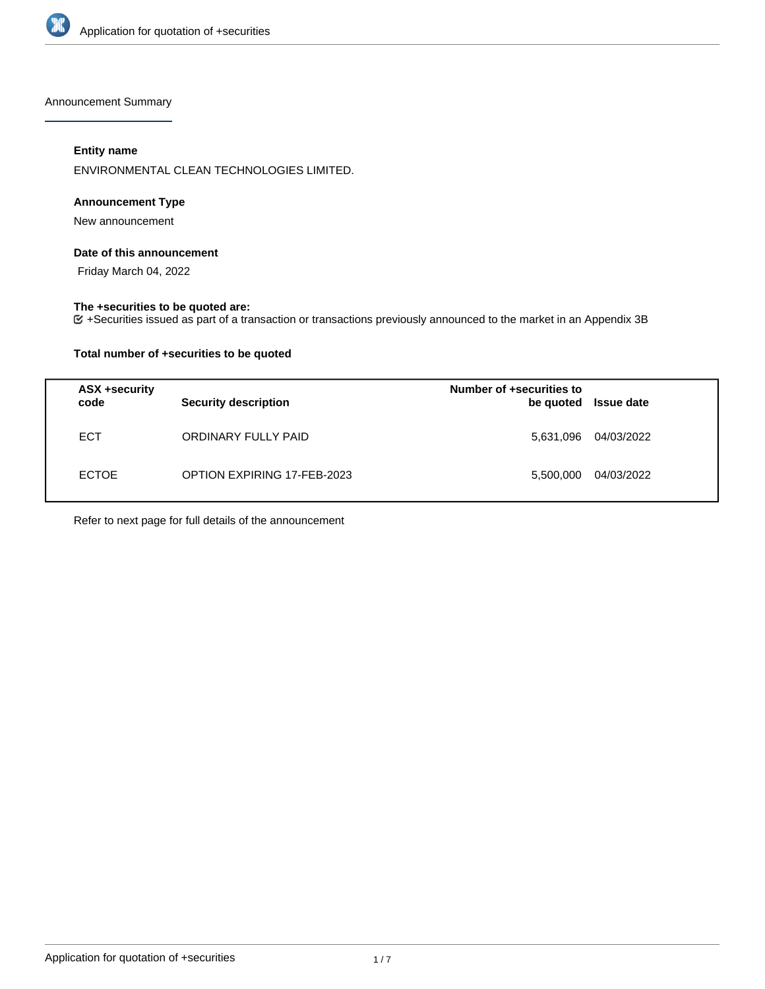

Announcement Summary

## **Entity name**

ENVIRONMENTAL CLEAN TECHNOLOGIES LIMITED.

## **Announcement Type**

New announcement

#### **Date of this announcement**

Friday March 04, 2022

## **The +securities to be quoted are:**

+Securities issued as part of a transaction or transactions previously announced to the market in an Appendix 3B

## **Total number of +securities to be quoted**

| ASX +security<br>code | <b>Security description</b> | Number of +securities to<br>be quoted | <b>Issue date</b> |
|-----------------------|-----------------------------|---------------------------------------|-------------------|
| <b>ECT</b>            | ORDINARY FULLY PAID         | 5,631,096                             | 04/03/2022        |
| <b>ECTOE</b>          | OPTION EXPIRING 17-FEB-2023 | 5,500,000                             | 04/03/2022        |

Refer to next page for full details of the announcement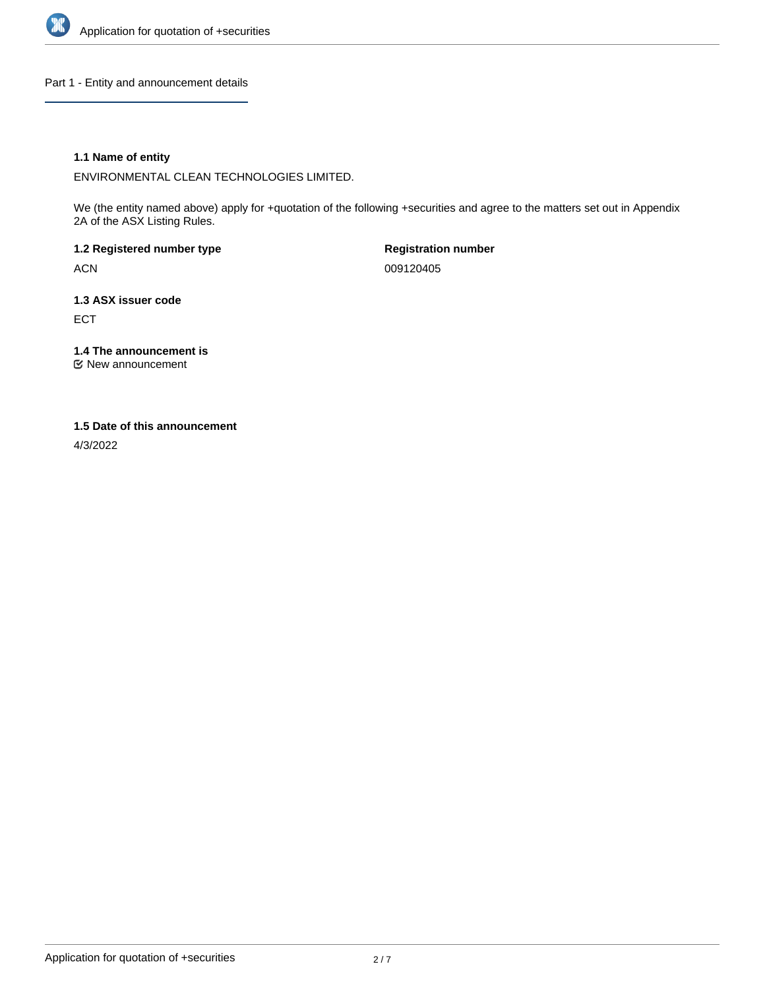

Part 1 - Entity and announcement details

## **1.1 Name of entity**

ENVIRONMENTAL CLEAN TECHNOLOGIES LIMITED.

We (the entity named above) apply for +quotation of the following +securities and agree to the matters set out in Appendix 2A of the ASX Listing Rules.

**1.2 Registered number type** ACN

**Registration number** 009120405

**1.3 ASX issuer code** ECT

**1.4 The announcement is**

New announcement

#### **1.5 Date of this announcement**

4/3/2022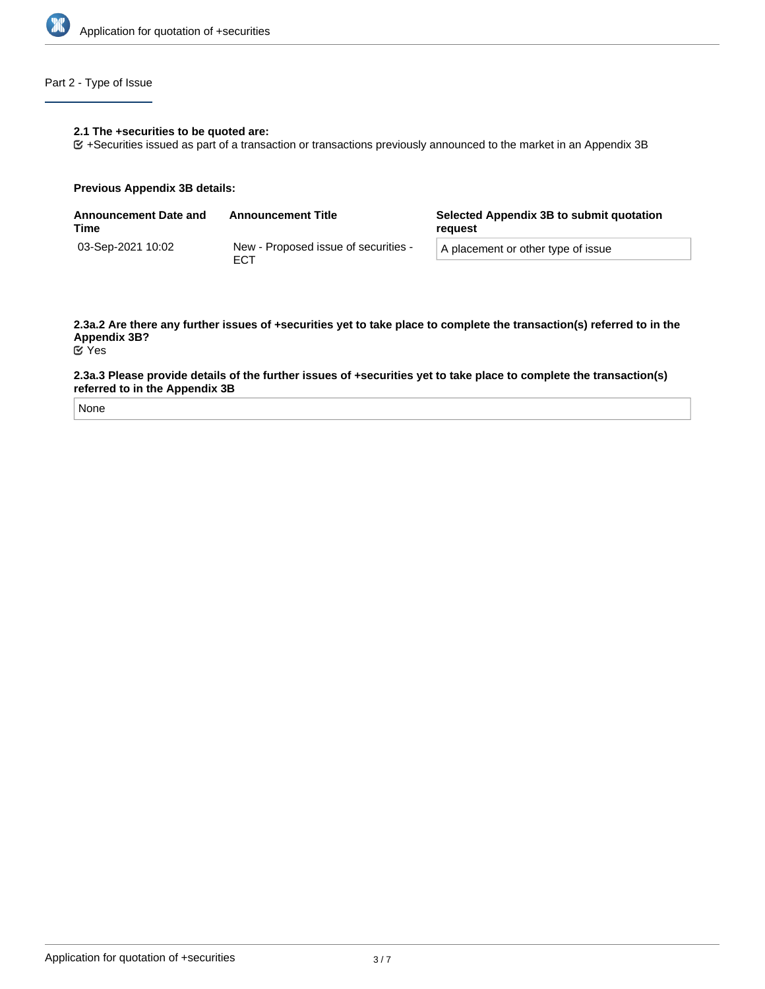

## Part 2 - Type of Issue

#### **2.1 The +securities to be quoted are:**

+Securities issued as part of a transaction or transactions previously announced to the market in an Appendix 3B

#### **Previous Appendix 3B details:**

| <b>Announcement Date and</b><br>Time | <b>Announcement Title</b>                   | Selected Appendix 3B to submit quotation<br>reguest |
|--------------------------------------|---------------------------------------------|-----------------------------------------------------|
| 03-Sep-2021 10:02                    | New - Proposed issue of securities -<br>ECT | A placement or other type of issue                  |

## **2.3a.2 Are there any further issues of +securities yet to take place to complete the transaction(s) referred to in the Appendix 3B?**

Yes

#### **2.3a.3 Please provide details of the further issues of +securities yet to take place to complete the transaction(s) referred to in the Appendix 3B**

None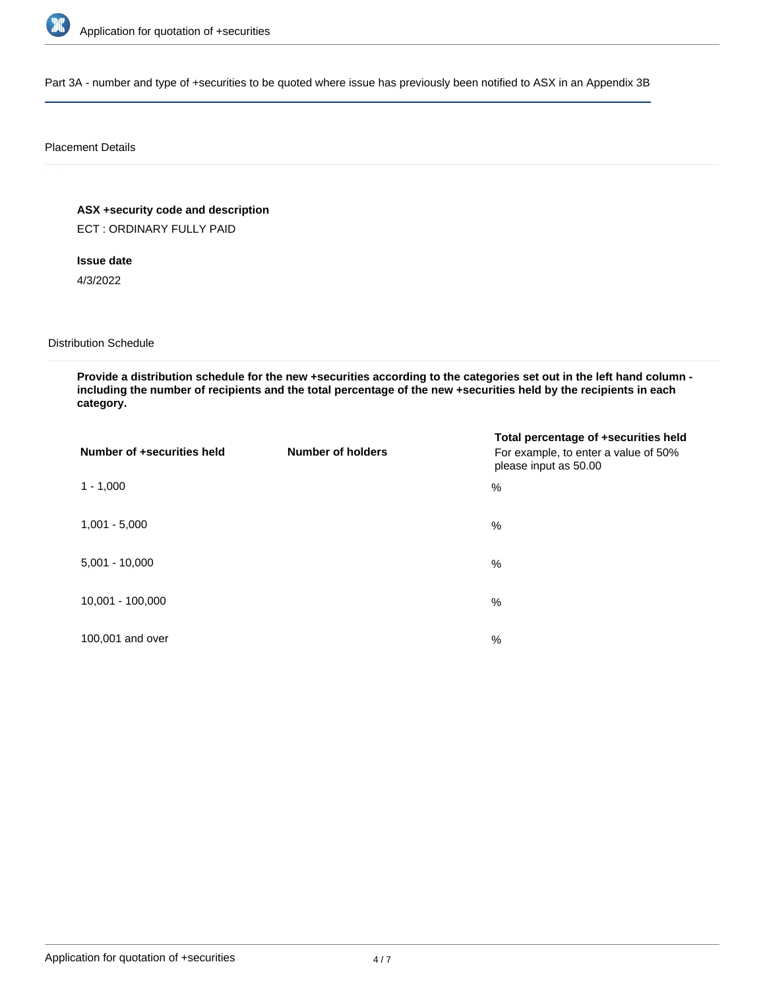

Part 3A - number and type of +securities to be quoted where issue has previously been notified to ASX in an Appendix 3B

#### Placement Details

**ASX +security code and description**

ECT : ORDINARY FULLY PAID

**Issue date**

4/3/2022

Distribution Schedule

**Provide a distribution schedule for the new +securities according to the categories set out in the left hand column including the number of recipients and the total percentage of the new +securities held by the recipients in each category.**

| Number of +securities held | <b>Number of holders</b> | Total percentage of +securities held<br>For example, to enter a value of 50%<br>please input as 50.00 |
|----------------------------|--------------------------|-------------------------------------------------------------------------------------------------------|
| $1 - 1,000$                |                          | %                                                                                                     |
| $1,001 - 5,000$            |                          | $\%$                                                                                                  |
| $5,001 - 10,000$           |                          | %                                                                                                     |
| 10,001 - 100,000           |                          | $\%$                                                                                                  |
| 100,001 and over           |                          | $\%$                                                                                                  |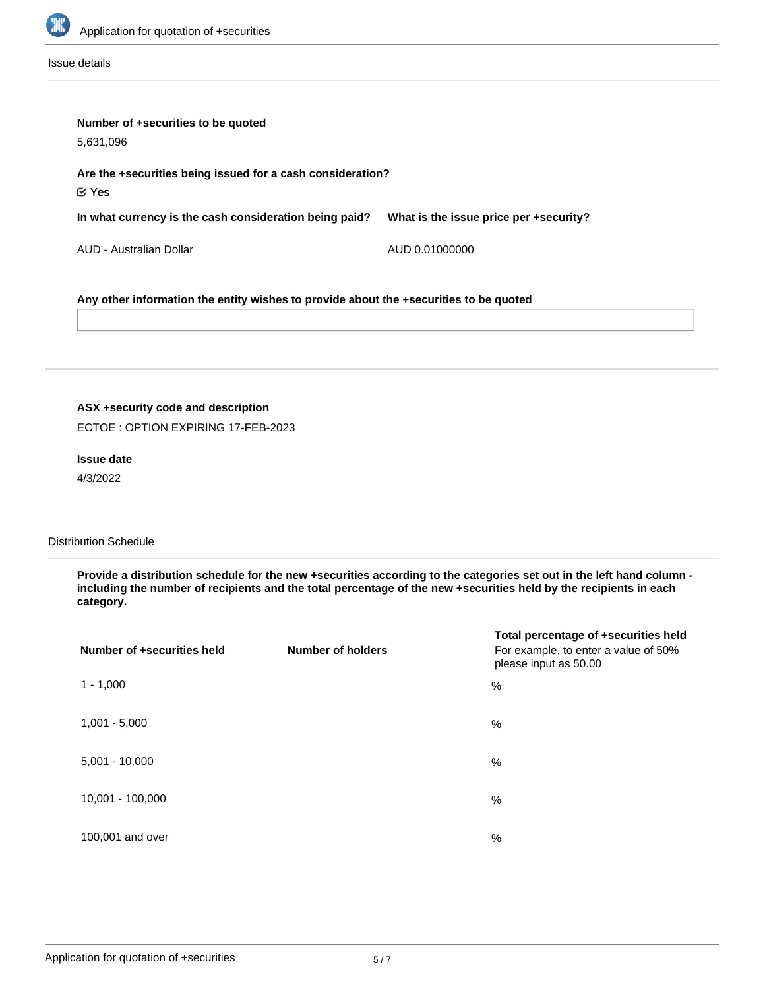

Issue details

| Number of +securities to be quoted<br>5,631,096                                       |                                        |  |
|---------------------------------------------------------------------------------------|----------------------------------------|--|
| Are the +securities being issued for a cash consideration?<br>$\mathfrak{C}$ Yes      |                                        |  |
| In what currency is the cash consideration being paid?                                | What is the issue price per +security? |  |
| AUD - Australian Dollar                                                               | AUD 0.01000000                         |  |
| Any other information the entity wishes to provide about the +securities to be quoted |                                        |  |

# **ASX +security code and description**

ECTOE : OPTION EXPIRING 17-FEB-2023

## **Issue date**

4/3/2022

## Distribution Schedule

**Provide a distribution schedule for the new +securities according to the categories set out in the left hand column including the number of recipients and the total percentage of the new +securities held by the recipients in each category.**

| Number of +securities held | <b>Number of holders</b> | Total percentage of +securities held<br>For example, to enter a value of 50%<br>please input as 50.00 |
|----------------------------|--------------------------|-------------------------------------------------------------------------------------------------------|
| $1 - 1,000$                |                          | %                                                                                                     |
| $1,001 - 5,000$            |                          | %                                                                                                     |
| $5,001 - 10,000$           |                          | %                                                                                                     |
| 10,001 - 100,000           |                          | %                                                                                                     |
| 100,001 and over           |                          | %                                                                                                     |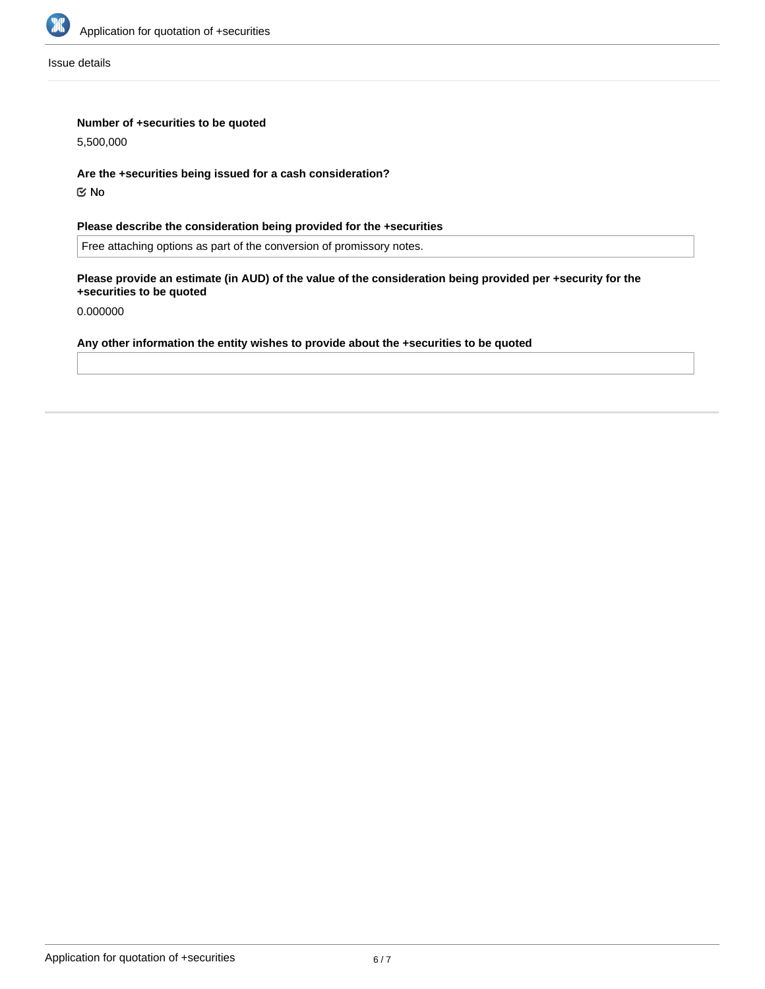

Issue details

## **Number of +securities to be quoted**

5,500,000

**Are the +securities being issued for a cash consideration?**

No

**Please describe the consideration being provided for the +securities**

Free attaching options as part of the conversion of promissory notes.

**Please provide an estimate (in AUD) of the value of the consideration being provided per +security for the +securities to be quoted**

0.000000

## **Any other information the entity wishes to provide about the +securities to be quoted**